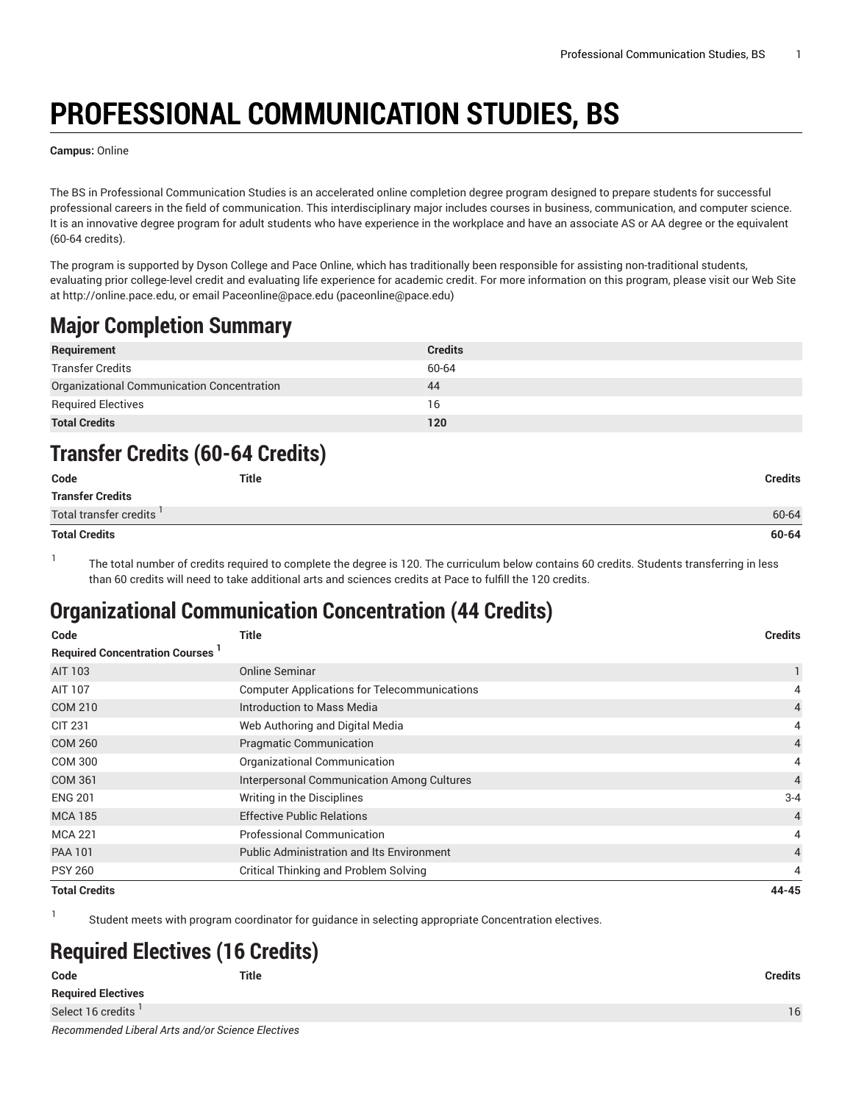# **PROFESSIONAL COMMUNICATION STUDIES, BS**

**Campus:** Online

The BS in Professional Communication Studies is an accelerated online completion degree program designed to prepare students for successful professional careers in the field of communication. This interdisciplinary major includes courses in business, communication, and computer science. It is an innovative degree program for adult students who have experience in the workplace and have an associate AS or AA degree or the equivalent (60-64 credits).

The program is supported by Dyson College and Pace Online, which has traditionally been responsible for assisting non-traditional students, evaluating prior college-level credit and evaluating life experience for academic credit. For more information on this program, please visit our Web Site at<http://online.pace.edu>, or email [Paceonline@pace.edu](mailto:paceonline@pace.edu) [\(paceonline@pace.edu](paceonline@pace.edu))

### **Major Completion Summary**

| Requirement                                | <b>Credits</b> |
|--------------------------------------------|----------------|
| <b>Transfer Credits</b>                    | 60-64          |
| Organizational Communication Concentration | 44             |
| <b>Required Electives</b>                  | 16             |
| <b>Total Credits</b>                       | 120            |

#### **Transfer Credits (60-64 Credits)**

| Code                                | <b>Title</b> | <b>Credits</b> |
|-------------------------------------|--------------|----------------|
| <b>Transfer Credits</b>             |              |                |
| Total transfer credits <sup>1</sup> |              | 60-64          |
| <b>Total Credits</b>                |              | 60-64          |

1

1

The total number of credits required to complete the degree is 120. The curriculum below contains 60 credits. Students transferring in less than 60 credits will need to take additional arts and sciences credits at Pace to fulfill the 120 credits.

#### **Organizational Communication Concentration (44 Credits)**

| Code                                  | <b>Title</b>                                        | <b>Credits</b> |
|---------------------------------------|-----------------------------------------------------|----------------|
| <b>Required Concentration Courses</b> |                                                     |                |
| AIT 103                               | Online Seminar                                      |                |
| AIT 107                               | <b>Computer Applications for Telecommunications</b> | 4              |
| COM 210                               | Introduction to Mass Media                          | 4              |
| <b>CIT 231</b>                        | Web Authoring and Digital Media                     | 4              |
| <b>COM 260</b>                        | <b>Pragmatic Communication</b>                      | $\overline{4}$ |
| <b>COM 300</b>                        | Organizational Communication                        | 4              |
| <b>COM 361</b>                        | Interpersonal Communication Among Cultures          | $\overline{4}$ |
| <b>ENG 201</b>                        | Writing in the Disciplines                          | $3 - 4$        |
| <b>MCA 185</b>                        | <b>Effective Public Relations</b>                   | $\overline{4}$ |
| <b>MCA 221</b>                        | <b>Professional Communication</b>                   | 4              |
| <b>PAA 101</b>                        | <b>Public Administration and Its Environment</b>    | $\overline{4}$ |
| <b>PSY 260</b>                        | Critical Thinking and Problem Solving               | 4              |
| <b>Total Credits</b>                  |                                                     | 44-45          |

Student meets with program coordinator for guidance in selecting appropriate Concentration electives.

## **Required Electives (16 Credits)**

| Code                                              | <b>Title</b> | <b>Credits</b> |
|---------------------------------------------------|--------------|----------------|
| <b>Required Electives</b>                         |              |                |
| Select 16 credits '                               |              | 16             |
| Recommended Liberal Arts and/or Science Electives |              |                |